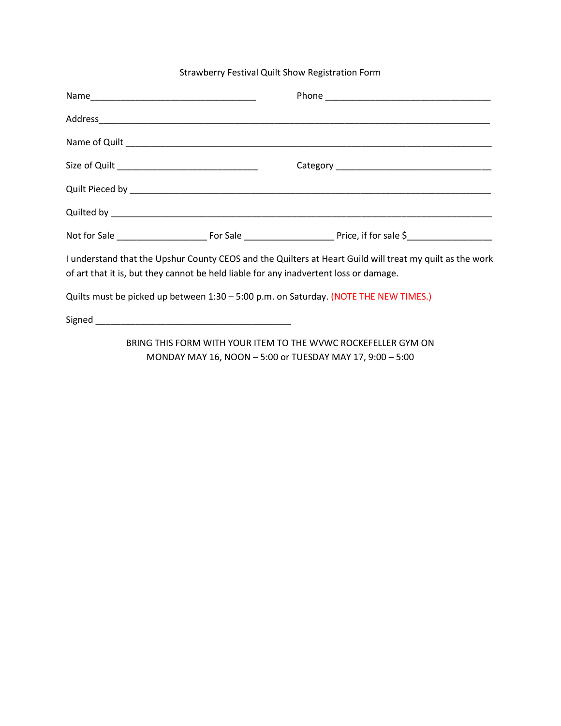## Strawberry Festival Quilt Show Registration Form

| Size of Quilt __________________________________ |                                                                                                                                                                                                   |
|--------------------------------------------------|---------------------------------------------------------------------------------------------------------------------------------------------------------------------------------------------------|
|                                                  |                                                                                                                                                                                                   |
|                                                  |                                                                                                                                                                                                   |
|                                                  |                                                                                                                                                                                                   |
|                                                  | I understand that the Upshur County CEOS and the Quilters at Heart Guild will treat my quilt as the work<br>of art that it is, but they cannot be held liable for any inadvertent loss or damage. |
|                                                  | Quilts must be picked up between 1:30 - 5:00 p.m. on Saturday. (NOTE THE NEW TIMES.)                                                                                                              |
|                                                  |                                                                                                                                                                                                   |
|                                                  | BRING THIS FORM WITH YOUR ITEM TO THE WVWC ROCKEFELLER GYM ON                                                                                                                                     |

MONDAY MAY 16, NOON – 5:00 or TUESDAY MAY 17, 9:00 – 5:00